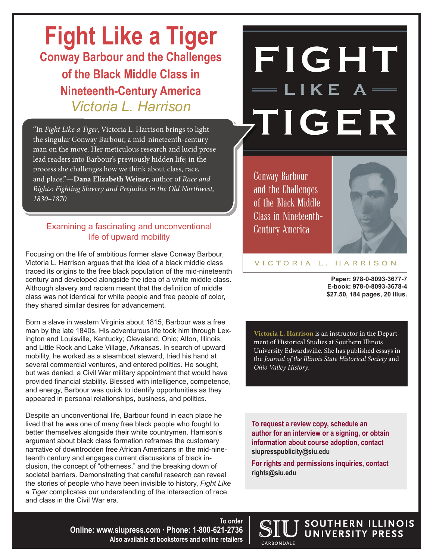# **Fight Like a Tiger Conway Barbour and the Challenges of the Black Middle Class in Nineteenth-Century America** *Victoria L. Harrison*

"In *Fight Like a Tiger*, Victoria L. Harrison brings to light the singular Conway Barbour, a mid-nineteenth-century man on the move. Her meticulous research and lucid prose lead readers into Barbour's previously hidden life; in the process she challenges how we think about class, race, and place."—**Dana Elizabeth Weiner**, author of *Race and Rights: Fighting Slavery and Prejudice in the Old Northwest, 1830–1870*

# Examining a fascinating and unconventional life of upward mobility

Focusing on the life of ambitious former slave Conway Barbour, Victoria L. Harrison argues that the idea of a black middle class traced its origins to the free black population of the mid-nineteenth century and developed alongside the idea of a white middle class. Although slavery and racism meant that the definition of middle class was not identical for white people and free people of color, they shared similar desires for advancement.

Born a slave in western Virginia about 1815, Barbour was a free man by the late 1840s. His adventurous life took him through Lexington and Louisville, Kentucky; Cleveland, Ohio; Alton, Illinois; and Little Rock and Lake Village, Arkansas. In search of upward mobility, he worked as a steamboat steward, tried his hand at several commercial ventures, and entered politics. He sought, but was denied, a Civil War military appointment that would have provided financial stability. Blessed with intelligence, competence, and energy, Barbour was quick to identify opportunities as they appeared in personal relationships, business, and politics.

Despite an unconventional life, Barbour found in each place he lived that he was one of many free black people who fought to better themselves alongside their white countrymen. Harrison's argument about black class formation reframes the customary narrative of downtrodden free African Americans in the mid-nineteenth century and engages current discussions of black inclusion, the concept of "otherness," and the breaking down of societal barriers. Demonstrating that careful research can reveal the stories of people who have been invisible to history, *Fight Like a Tiger* complicates our understanding of the intersection of race and class in the Civil War era.

FIGHT LIKE A TIGER

**Conway Barbour** and the Challenges of the Black Middle **Class in Nineteenth-Century America** 



#### VICTORIA L. HARRISON

**Paper: 978-0-8093-3677-7 E-book: 978-0-8093-3678-4 \$27.50, 184 pages, 20 illus.**

**Victoria L. Harrison** is an instructor in the Department of Historical Studies at Southern Illinois University Edwardsville. She has published essays in the *Journal of the Illinois State Historical Society* and *Ohio Valley History*.

**To request a review copy, schedule an author for an interview or a signing, or obtain information about course adoption, contact siupresspublicity@siu.edu**

**For rights and permissions inquiries, contact rights@siu.edu**

**CARRONDALE** 

SOUTHERN ILLINOIS UNIVERSITY PRESS

**To order Online: www.siupress.com · Phone: 1-800-621-2736 Also available at bookstores and online retailers**